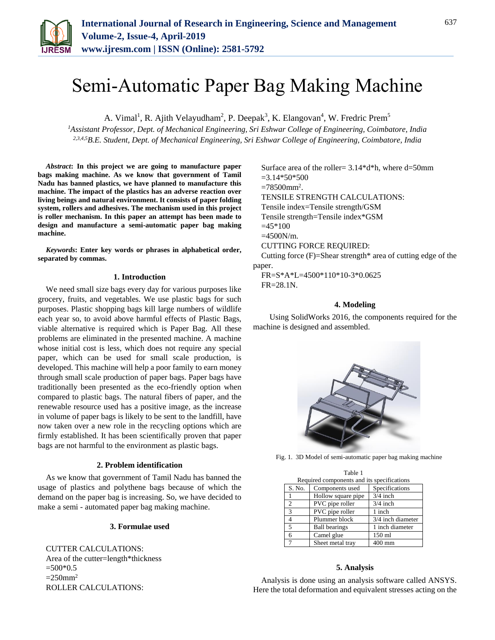

# Semi-Automatic Paper Bag Making Machine

A. Vimal<sup>1</sup>, R. Ajith Velayudham<sup>2</sup>, P. Deepak<sup>3</sup>, K. Elangovan<sup>4</sup>, W. Fredric Prem<sup>5</sup>

*<sup>1</sup>Assistant Professor, Dept. of Mechanical Engineering, Sri Eshwar College of Engineering, Coimbatore, India 2,3,4,5B.E. Student, Dept. of Mechanical Engineering, Sri Eshwar College of Engineering, Coimbatore, India*

*Abstract***: In this project we are going to manufacture paper bags making machine. As we know that government of Tamil Nadu has banned plastics, we have planned to manufacture this machine. The impact of the plastics has an adverse reaction over living beings and natural environment. It consists of paper folding system, rollers and adhesives. The mechanism used in this project is roller mechanism. In this paper an attempt has been made to design and manufacture a semi-automatic paper bag making machine.**

*Keywords***: Enter key words or phrases in alphabetical order, separated by commas.** 

## **1. Introduction**

We need small size bags every day for various purposes like grocery, fruits, and vegetables. We use plastic bags for such purposes. Plastic shopping bags kill large numbers of wildlife each year so, to avoid above harmful effects of Plastic Bags, viable alternative is required which is Paper Bag. All these problems are eliminated in the presented machine. A machine whose initial cost is less, which does not require any special paper, which can be used for small scale production, is developed. This machine will help a poor family to earn money through small scale production of paper bags. Paper bags have traditionally been presented as the eco-friendly option when compared to plastic bags. The natural fibers of paper, and the renewable resource used has a positive image, as the increase in volume of paper bags is likely to be sent to the landfill, have now taken over a new role in the recycling options which are firmly established. It has been scientifically proven that paper bags are not harmful to the environment as plastic bags.

## **2. Problem identification**

As we know that government of Tamil Nadu has banned the usage of plastics and polythene bags because of which the demand on the paper bag is increasing. So, we have decided to make a semi - automated paper bag making machine.

## **3. Formulae used**

CUTTER CALCULATIONS: Area of the cutter=length\*thickness  $=500*0.5$  $=250$ mm<sup>2</sup> ROLLER CALCULATIONS:

Surface area of the roller=  $3.14*d*h$ , where d=50mm  $=3.14*50*500$  $=78500$ mm<sup>2</sup>. TENSILE STRENGTH CALCULATIONS: Tensile index=Tensile strength/GSM Tensile strength=Tensile index\*GSM  $=45*100$ =4500N/m. CUTTING FORCE REQUIRED: Cutting force  $(F)=$ Shear strength\* area of cutting edge of the paper.

FR=S\*A\*L=4500\*110\*10-3\*0.0625 FR=28.1N.

## **4. Modeling**

Using SolidWorks 2016, the components required for the machine is designed and assembled.



Fig. 1. 3D Model of semi-automatic paper bag making machine

| Table 1                                    |                      |                   |
|--------------------------------------------|----------------------|-------------------|
| Required components and its specifications |                      |                   |
| S. No.                                     | Components used      | Specifications    |
|                                            | Hollow square pipe   | $3/4$ inch        |
| 2                                          | PVC pipe roller      | $3/4$ inch        |
| 3                                          | PVC pipe roller      | 1 inch            |
|                                            | Plummer block        | 3/4 inch diameter |
| 5                                          | <b>Ball bearings</b> | 1 inch diameter   |
| 6                                          | Camel glue           | 150 ml            |
|                                            | Sheet metal tray     | 400 mm            |

## **5. Analysis**

Analysis is done using an analysis software called ANSYS. Here the total deformation and equivalent stresses acting on the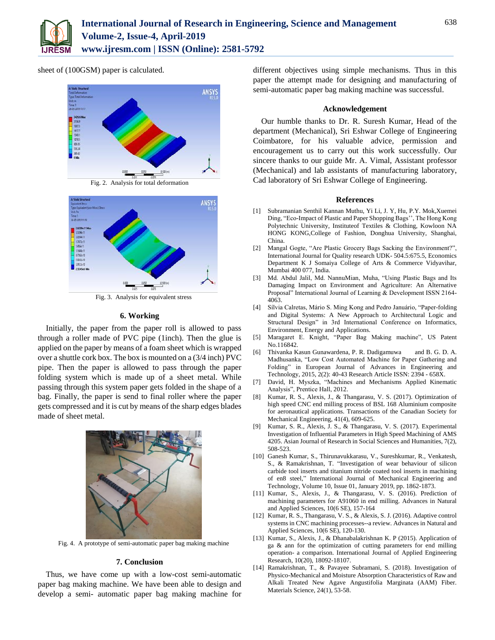

sheet of (100GSM) paper is calculated.





Fig. 3. Analysis for equivalent stress

## **6. Working**

Initially, the paper from the paper roll is allowed to pass through a roller made of PVC pipe (1inch). Then the glue is applied on the paper by means of a foam sheet which is wrapped over a shuttle cork box. The box is mounted on a (3/4 inch) PVC pipe. Then the paper is allowed to pass through the paper folding system which is made up of a sheet metal. While passing through this system paper gets folded in the shape of a bag. Finally, the paper is send to final roller where the paper gets compressed and it is cut by means of the sharp edges blades made of sheet metal.



Fig. 4. A prototype of semi-automatic paper bag making machine

#### **7. Conclusion**

Thus, we have come up with a low-cost semi-automatic paper bag making machine. We have been able to design and develop a semi- automatic paper bag making machine for different objectives using simple mechanisms. Thus in this paper the attempt made for designing and manufacturing of semi-automatic paper bag making machine was successful.

## **Acknowledgement**

Our humble thanks to Dr. R. Suresh Kumar, Head of the department (Mechanical), Sri Eshwar College of Engineering Coimbatore, for his valuable advice, permission and encouragement us to carry out this work successfully. Our sincere thanks to our guide Mr. A. Vimal, Assistant professor (Mechanical) and lab assistants of manufacturing laboratory, Cad laboratory of Sri Eshwar College of Engineering.

#### **References**

- [1] Subramanian Senthil Kannan Muthu, Yi Li, J. Y, Hu, P.Y. Mok,Xuemei Ding, "Eco-Impact of Plastic and Paper Shopping Bags'', The Hong Kong Polytechnic University, Instituteof Textiles & Clothing, Kowloon NA HONG KONG,College of Fashion, Donghua University, Shanghai, China.
- [2] Mangal Gogte, "Are Plastic Grocery Bags Sacking the Environment?", International Journal for Quality research UDK- 504.5:675.5, Economics Department K J Somaiya College of Arts & Commerce Vidyavihar, Mumbai 400 077, India.
- [3] Md. Abdul Jalil, Md. NannuMian, Muha, "Using Plastic Bags and Its Damaging Impact on Environment and Agriculture: An Alternative Proposal" International Journal of Learning & Development ISSN 2164- 4063.
- [4] Sílvia Calretas, Mário S. Ming Kong and Pedro Januário, "Paper-folding and Digital Systems: A New Approach to Architectural Logic and Structural Design" in 3rd International Conference on Informatics, Environment, Energy and Applications.
- [5] Maragaret E. Knight, "Paper Bag Making machine", US Patent No.116842.
- [6] Thivanka Kasun Gunawardena, P. R. Dadigamuwa and B. G. D. A. Madhusanka, "Low Cost Automated Machine for Paper Gathering and Folding" in European Journal of Advances in Engineering and Technology, 2015, 2(2): 40-43 Research Article ISSN: 2394 - 658X.
- [7] David, H. Myszka, "Machines and Mechanisms Applied Kinematic Analysis", Prentice Hall, 2012.
- [8] Kumar, R. S., Alexis, J., & Thangarasu, V. S. (2017). Optimization of high speed CNC end milling process of BSL 168 Aluminium composite for aeronautical applications. Transactions of the Canadian Society for Mechanical Engineering, 41(4), 609-625.
- [9] Kumar, S. R., Alexis, J. S., & Thangarasu, V. S. (2017). Experimental Investigation of Influential Parameters in High Speed Machining of AMS 4205. Asian Journal of Research in Social Sciences and Humanities, 7(2), 508-523.
- [10] Ganesh Kumar, S., Thirunavukkarasu, V., Sureshkumar, R., Venkatesh, S., & Ramakrishnan, T. "Investigation of wear behaviour of silicon carbide tool inserts and titanium nitride coated tool inserts in machining of en8 steel," International Journal of Mechanical Engineering and Technology, Volume 10, Issue 01, January 2019, pp. 1862-1873.
- [11] Kumar, S., Alexis, J., & Thangarasu, V. S. (2016). Prediction of machining parameters for A91060 in end milling. Advances in Natural and Applied Sciences, 10(6 SE), 157-164
- [12] Kumar, R. S., Thangarasu, V. S., & Alexis, S. J. (2016). Adaptive control systems in CNC machining processes--a review. Advances in Natural and Applied Sciences, 10(6 SE), 120-130.
- [13] Kumar, S., Alexis, J., & Dhanabalakrishnan K. P (2015). Application of ga & ann for the optimization of cutting parameters for end milling operation- a comparison. International Journal of Applied Engineering Research, 10(20), 18092-18107.
- [14] Ramakrishnan, T., & Pavayee Subramani, S. (2018). Investigation of Physico-Mechanical and Moisture Absorption Characteristics of Raw and Alkali Treated New Agave Angustifolia Marginata (AAM) Fiber. Materials Science, 24(1), 53-58.